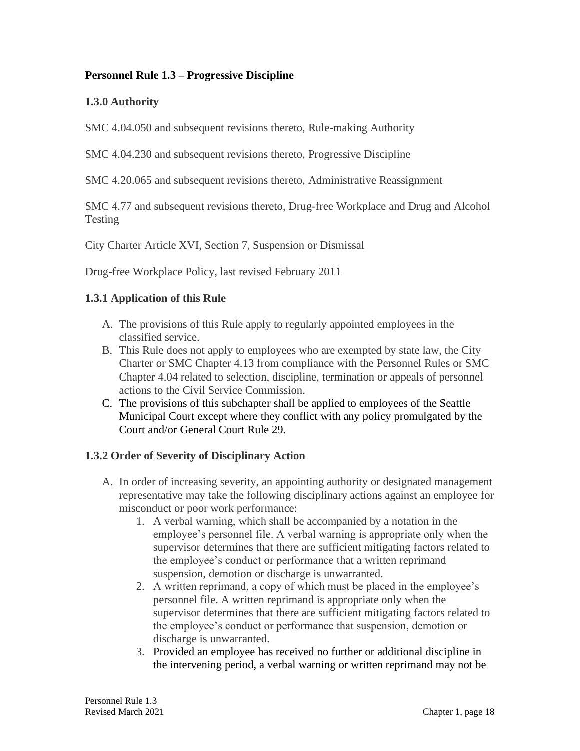## **Personnel Rule 1.3 – Progressive Discipline**

## **1.3.0 Authority**

SMC 4.04.050 and subsequent revisions thereto, Rule-making Authority

SMC 4.04.230 and subsequent revisions thereto, Progressive Discipline

SMC 4.20.065 and subsequent revisions thereto, Administrative Reassignment

SMC 4.77 and subsequent revisions thereto, Drug-free Workplace and Drug and Alcohol Testing

City Charter Article XVI, Section 7, Suspension or Dismissal

Drug-free Workplace Policy, last revised February 2011

#### **1.3.1 Application of this Rule**

- A. The provisions of this Rule apply to regularly appointed employees in the classified service.
- B. This Rule does not apply to employees who are exempted by state law, the City Charter or SMC Chapter 4.13 from compliance with the Personnel Rules or SMC Chapter 4.04 related to selection, discipline, termination or appeals of personnel actions to the Civil Service Commission.
- C. The provisions of this subchapter shall be applied to employees of the Seattle Municipal Court except where they conflict with any policy promulgated by the Court and/or General Court Rule 29.

#### **1.3.2 Order of Severity of Disciplinary Action**

- A. In order of increasing severity, an appointing authority or designated management representative may take the following disciplinary actions against an employee for misconduct or poor work performance:
	- 1. A verbal warning, which shall be accompanied by a notation in the employee's personnel file. A verbal warning is appropriate only when the supervisor determines that there are sufficient mitigating factors related to the employee's conduct or performance that a written reprimand suspension, demotion or discharge is unwarranted.
	- 2. A written reprimand, a copy of which must be placed in the employee's personnel file. A written reprimand is appropriate only when the supervisor determines that there are sufficient mitigating factors related to the employee's conduct or performance that suspension, demotion or discharge is unwarranted.
	- 3. Provided an employee has received no further or additional discipline in the intervening period, a verbal warning or written reprimand may not be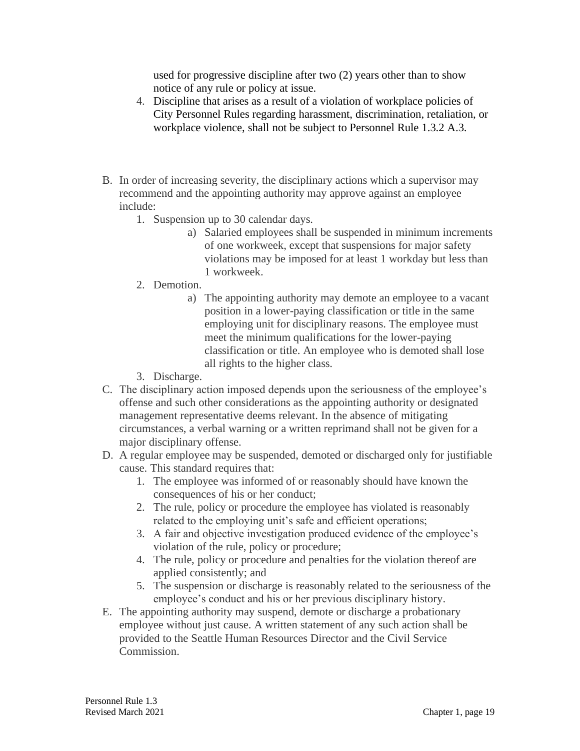used for progressive discipline after two (2) years other than to show notice of any rule or policy at issue.

- 4. Discipline that arises as a result of a violation of workplace policies of City Personnel Rules regarding harassment, discrimination, retaliation, or workplace violence, shall not be subject to Personnel Rule 1.3.2 A.3.
- B. In order of increasing severity, the disciplinary actions which a supervisor may recommend and the appointing authority may approve against an employee include:
	- 1. Suspension up to 30 calendar days.
		- a) Salaried employees shall be suspended in minimum increments of one workweek, except that suspensions for major safety violations may be imposed for at least 1 workday but less than 1 workweek.
	- 2. Demotion.
		- a) The appointing authority may demote an employee to a vacant position in a lower-paying classification or title in the same employing unit for disciplinary reasons. The employee must meet the minimum qualifications for the lower-paying classification or title. An employee who is demoted shall lose all rights to the higher class.
	- 3. Discharge.
- C. The disciplinary action imposed depends upon the seriousness of the employee's offense and such other considerations as the appointing authority or designated management representative deems relevant. In the absence of mitigating circumstances, a verbal warning or a written reprimand shall not be given for a major disciplinary offense.
- D. A regular employee may be suspended, demoted or discharged only for justifiable cause. This standard requires that:
	- 1. The employee was informed of or reasonably should have known the consequences of his or her conduct;
	- 2. The rule, policy or procedure the employee has violated is reasonably related to the employing unit's safe and efficient operations;
	- 3. A fair and objective investigation produced evidence of the employee's violation of the rule, policy or procedure;
	- 4. The rule, policy or procedure and penalties for the violation thereof are applied consistently; and
	- 5. The suspension or discharge is reasonably related to the seriousness of the employee's conduct and his or her previous disciplinary history.
- E. The appointing authority may suspend, demote or discharge a probationary employee without just cause. A written statement of any such action shall be provided to the Seattle Human Resources Director and the Civil Service Commission.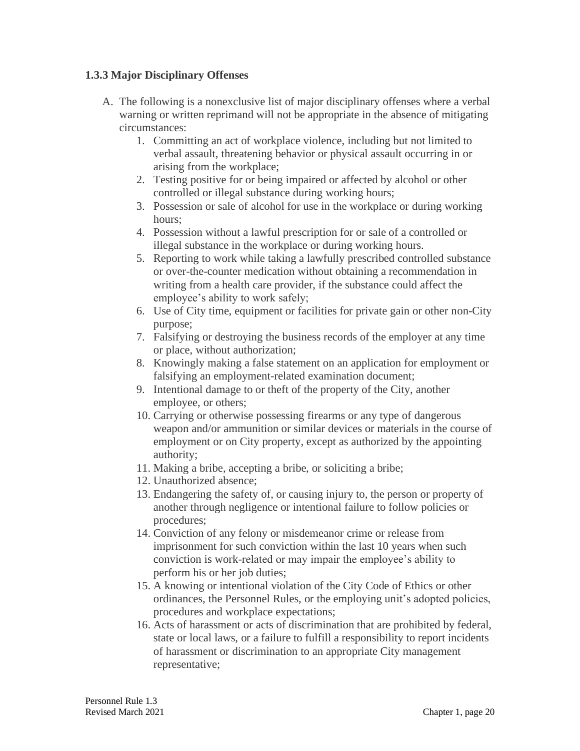#### **1.3.3 Major Disciplinary Offenses**

- A. The following is a nonexclusive list of major disciplinary offenses where a verbal warning or written reprimand will not be appropriate in the absence of mitigating circumstances:
	- 1. Committing an act of workplace violence, including but not limited to verbal assault, threatening behavior or physical assault occurring in or arising from the workplace;
	- 2. Testing positive for or being impaired or affected by alcohol or other controlled or illegal substance during working hours;
	- 3. Possession or sale of alcohol for use in the workplace or during working hours;
	- 4. Possession without a lawful prescription for or sale of a controlled or illegal substance in the workplace or during working hours.
	- 5. Reporting to work while taking a lawfully prescribed controlled substance or over-the-counter medication without obtaining a recommendation in writing from a health care provider, if the substance could affect the employee's ability to work safely;
	- 6. Use of City time, equipment or facilities for private gain or other non-City purpose;
	- 7. Falsifying or destroying the business records of the employer at any time or place, without authorization;
	- 8. Knowingly making a false statement on an application for employment or falsifying an employment-related examination document;
	- 9. Intentional damage to or theft of the property of the City, another employee, or others;
	- 10. Carrying or otherwise possessing firearms or any type of dangerous weapon and/or ammunition or similar devices or materials in the course of employment or on City property, except as authorized by the appointing authority;
	- 11. Making a bribe, accepting a bribe, or soliciting a bribe;
	- 12. Unauthorized absence;
	- 13. Endangering the safety of, or causing injury to, the person or property of another through negligence or intentional failure to follow policies or procedures;
	- 14. Conviction of any felony or misdemeanor crime or release from imprisonment for such conviction within the last 10 years when such conviction is work-related or may impair the employee's ability to perform his or her job duties;
	- 15. A knowing or intentional violation of the City Code of Ethics or other ordinances, the Personnel Rules, or the employing unit's adopted policies, procedures and workplace expectations;
	- 16. Acts of harassment or acts of discrimination that are prohibited by federal, state or local laws, or a failure to fulfill a responsibility to report incidents of harassment or discrimination to an appropriate City management representative;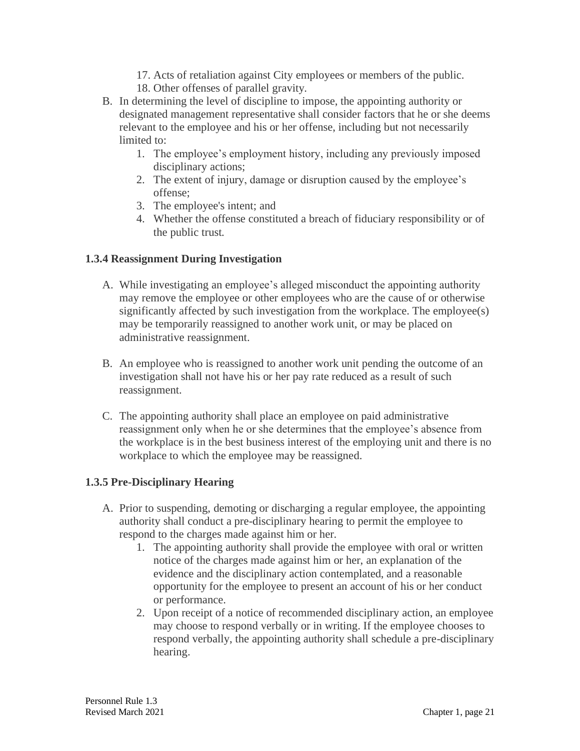- 17. Acts of retaliation against City employees or members of the public.
- 18. Other offenses of parallel gravity.
- B. In determining the level of discipline to impose, the appointing authority or designated management representative shall consider factors that he or she deems relevant to the employee and his or her offense, including but not necessarily limited to:
	- 1. The employee's employment history, including any previously imposed disciplinary actions;
	- 2. The extent of injury, damage or disruption caused by the employee's offense;
	- 3. The employee's intent; and
	- 4. Whether the offense constituted a breach of fiduciary responsibility or of the public trust.

#### **1.3.4 Reassignment During Investigation**

- A. While investigating an employee's alleged misconduct the appointing authority may remove the employee or other employees who are the cause of or otherwise significantly affected by such investigation from the workplace. The employee(s) may be temporarily reassigned to another work unit, or may be placed on administrative reassignment.
- B. An employee who is reassigned to another work unit pending the outcome of an investigation shall not have his or her pay rate reduced as a result of such reassignment.
- C. The appointing authority shall place an employee on paid administrative reassignment only when he or she determines that the employee's absence from the workplace is in the best business interest of the employing unit and there is no workplace to which the employee may be reassigned.

#### **1.3.5 Pre-Disciplinary Hearing**

- A. Prior to suspending, demoting or discharging a regular employee, the appointing authority shall conduct a pre-disciplinary hearing to permit the employee to respond to the charges made against him or her.
	- 1. The appointing authority shall provide the employee with oral or written notice of the charges made against him or her, an explanation of the evidence and the disciplinary action contemplated, and a reasonable opportunity for the employee to present an account of his or her conduct or performance.
	- 2. Upon receipt of a notice of recommended disciplinary action, an employee may choose to respond verbally or in writing. If the employee chooses to respond verbally, the appointing authority shall schedule a pre-disciplinary hearing.